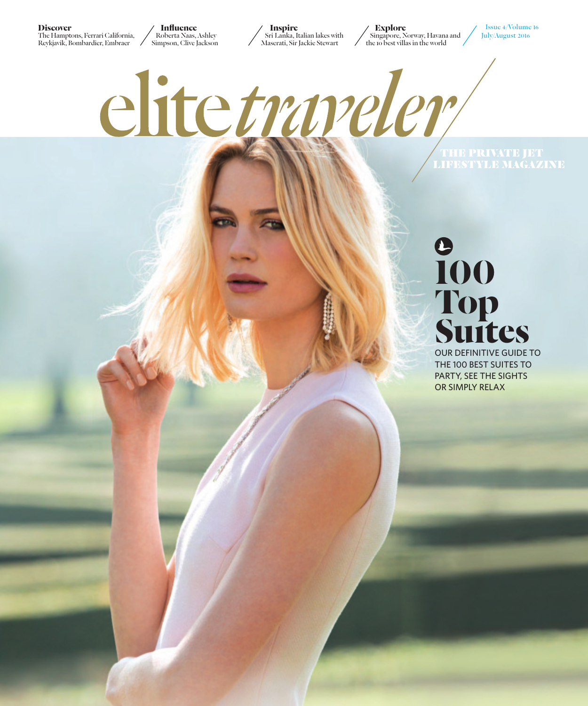**Discover**

The Hamptons, Ferrari California, Reykjavik, Bombardier, Embraer

**Influence** Roberta Naas, Ashley Simpson, Clive Jackson

**Inspire** Sri Lanka, Italian lakes with Maserati, Sir Jackie Stewart

**Explore** Singapore, Norway, Havana and the 10 best villas in the world

Issue 4/Volume 16 July/August 2016

elitetranelem **THE PRIVATE JET<br>LIFESTYLE MAGAZINE** 

## **100 Top Suıtes**

OUR DEFINITIVE GUIDE TO THE 100 BEST SUITES TO PARTY, SEE THE SIGHTS OR SIMPLY RELAX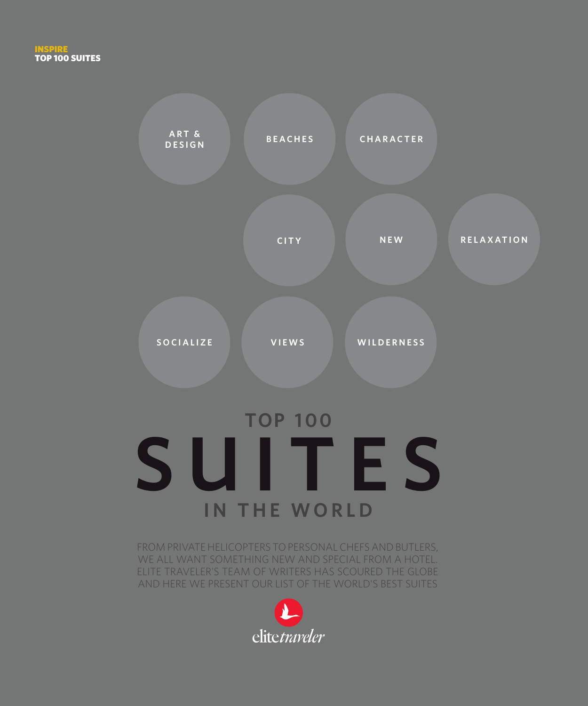## **TOP 100 SUITES IN THE WORLD**

**SOCIALIZE VIEWS WILDERNESS**

**DESIGN BEACHES CHARACTER**

**CITY NEW RELAXATION**

FROM PRIVATE HELICOPTERS TO PERSONAL CHEFS AND BUTLERS, WE ALL WANT SOMETHING NEW AND SPECIAL FROM A HOTEL. ELITE TRAVELER'S TEAM OF WRITERS HAS SCOURED THE GLOBE AND HERE WE PRESENT OUR LIST OF THE WORLD'S BEST SUITES



**ART &**